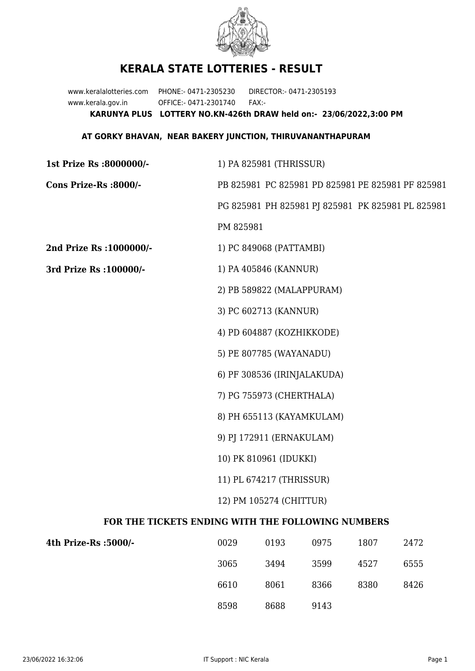

## **KERALA STATE LOTTERIES - RESULT**

www.keralalotteries.com PHONE:- 0471-2305230 DIRECTOR:- 0471-2305193 www.kerala.gov.in OFFICE:- 0471-2301740 FAX:- **KARUNYA PLUS LOTTERY NO.KN-426th DRAW held on:- 23/06/2022,3:00 PM**

## **AT GORKY BHAVAN, NEAR BAKERY JUNCTION, THIRUVANANTHAPURAM**

| 1st Prize Rs :8000000/-                           | 1) PA 825981 (THRISSUR)                           |  |  |  |
|---------------------------------------------------|---------------------------------------------------|--|--|--|
| Cons Prize-Rs :8000/-                             | PB 825981 PC 825981 PD 825981 PE 825981 PF 825981 |  |  |  |
|                                                   | PG 825981 PH 825981 PJ 825981 PK 825981 PL 825981 |  |  |  |
|                                                   | PM 825981                                         |  |  |  |
| 2nd Prize Rs : 1000000/-                          | 1) PC 849068 (PATTAMBI)                           |  |  |  |
| 3rd Prize Rs : 100000/-                           | 1) PA 405846 (KANNUR)                             |  |  |  |
|                                                   | 2) PB 589822 (MALAPPURAM)                         |  |  |  |
|                                                   | 3) PC 602713 (KANNUR)                             |  |  |  |
|                                                   | 4) PD 604887 (KOZHIKKODE)                         |  |  |  |
|                                                   | 5) PE 807785 (WAYANADU)                           |  |  |  |
|                                                   | 6) PF 308536 (IRINJALAKUDA)                       |  |  |  |
|                                                   | 7) PG 755973 (CHERTHALA)                          |  |  |  |
|                                                   | 8) PH 655113 (KAYAMKULAM)                         |  |  |  |
|                                                   | 9) PJ 172911 (ERNAKULAM)                          |  |  |  |
|                                                   | 10) PK 810961 (IDUKKI)                            |  |  |  |
|                                                   | 11) PL 674217 (THRISSUR)                          |  |  |  |
|                                                   | 12) PM 105274 (CHITTUR)                           |  |  |  |
| FOR THE TICKETS ENDING WITH THE FOLLOWING NUMBERS |                                                   |  |  |  |

| 4th Prize-Rs :5000/- | 0029 | 0193 | 0975 | 1807 | 2472 |
|----------------------|------|------|------|------|------|
|                      | 3065 | 3494 | 3599 | 4527 | 6555 |
|                      | 6610 | 8061 | 8366 | 8380 | 8426 |
|                      | 8598 | 8688 | 9143 |      |      |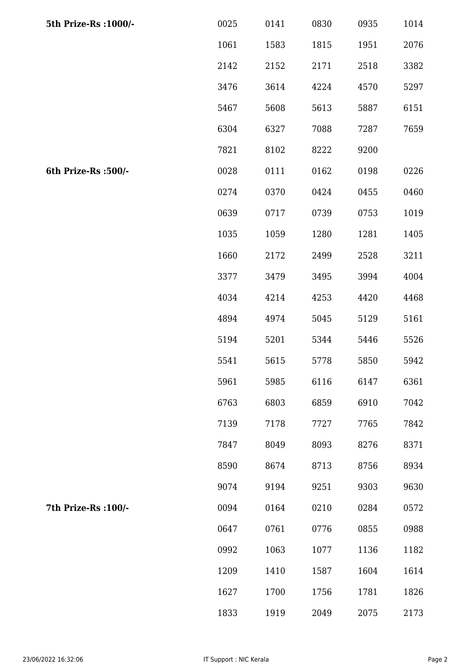| 5th Prize-Rs : 1000/- | 0025 | 0141 | 0830 | 0935 | 1014 |
|-----------------------|------|------|------|------|------|
|                       | 1061 | 1583 | 1815 | 1951 | 2076 |
|                       | 2142 | 2152 | 2171 | 2518 | 3382 |
|                       | 3476 | 3614 | 4224 | 4570 | 5297 |
|                       | 5467 | 5608 | 5613 | 5887 | 6151 |
|                       | 6304 | 6327 | 7088 | 7287 | 7659 |
|                       | 7821 | 8102 | 8222 | 9200 |      |
| 6th Prize-Rs :500/-   | 0028 | 0111 | 0162 | 0198 | 0226 |
|                       | 0274 | 0370 | 0424 | 0455 | 0460 |
|                       | 0639 | 0717 | 0739 | 0753 | 1019 |
|                       | 1035 | 1059 | 1280 | 1281 | 1405 |
|                       | 1660 | 2172 | 2499 | 2528 | 3211 |
|                       | 3377 | 3479 | 3495 | 3994 | 4004 |
|                       | 4034 | 4214 | 4253 | 4420 | 4468 |
|                       | 4894 | 4974 | 5045 | 5129 | 5161 |
|                       | 5194 | 5201 | 5344 | 5446 | 5526 |
|                       | 5541 | 5615 | 5778 | 5850 | 5942 |
|                       | 5961 | 5985 | 6116 | 6147 | 6361 |
|                       | 6763 | 6803 | 6859 | 6910 | 7042 |
|                       | 7139 | 7178 | 7727 | 7765 | 7842 |
|                       | 7847 | 8049 | 8093 | 8276 | 8371 |
|                       | 8590 | 8674 | 8713 | 8756 | 8934 |
|                       | 9074 | 9194 | 9251 | 9303 | 9630 |
| 7th Prize-Rs : 100/-  | 0094 | 0164 | 0210 | 0284 | 0572 |
|                       | 0647 | 0761 | 0776 | 0855 | 0988 |
|                       | 0992 | 1063 | 1077 | 1136 | 1182 |
|                       | 1209 | 1410 | 1587 | 1604 | 1614 |
|                       | 1627 | 1700 | 1756 | 1781 | 1826 |
|                       | 1833 | 1919 | 2049 | 2075 | 2173 |